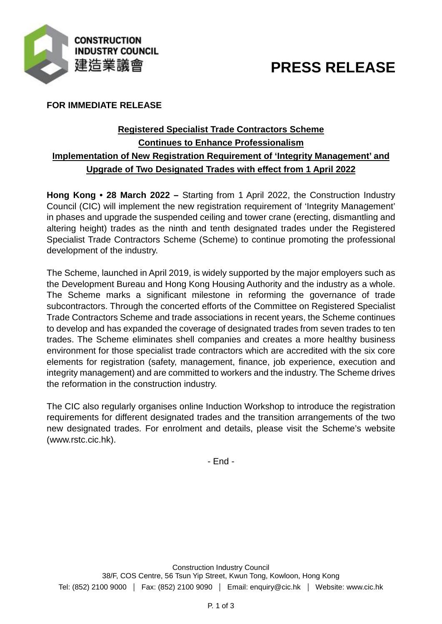

# **PRESS RELEASE**

## **FOR IMMEDIATE RELEASE**

## **Registered Specialist Trade Contractors Scheme Continues to Enhance Professionalism Implementation of New Registration Requirement of 'Integrity Management' and Upgrade of Two Designated Trades with effect from 1 April 2022**

**Hong Kong • 28 March 2022 –** Starting from 1 April 2022, the Construction Industry Council (CIC) will implement the new registration requirement of 'Integrity Management' in phases and upgrade the suspended ceiling and tower crane (erecting, dismantling and altering height) trades as the ninth and tenth designated trades under the Registered Specialist Trade Contractors Scheme (Scheme) to continue promoting the professional development of the industry.

The Scheme, launched in April 2019, is widely supported by the major employers such as the Development Bureau and Hong Kong Housing Authority and the industry as a whole. The Scheme marks a significant milestone in reforming the governance of trade subcontractors. Through the concerted efforts of the Committee on Registered Specialist Trade Contractors Scheme and trade associations in recent years, the Scheme continues to develop and has expanded the coverage of designated trades from seven trades to ten trades. The Scheme eliminates shell companies and creates a more healthy business environment for those specialist trade contractors which are accredited with the six core elements for registration (safety, management, finance, job experience, execution and integrity management) and are committed to workers and the industry. The Scheme drives the reformation in the construction industry.

The CIC also regularly organises online Induction Workshop to introduce the registration requirements for different designated trades and the transition arrangements of the two new designated trades. For enrolment and details, please visit the Scheme's website (www.rstc.cic.hk).

- End -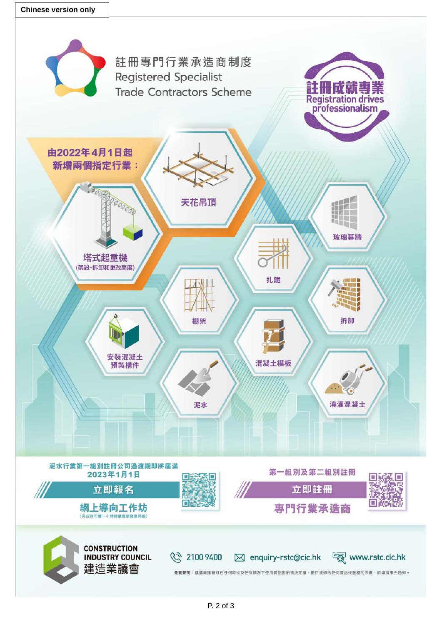